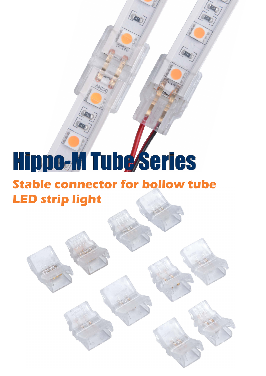# **Hippo-M Tube/Series**

### **Stable connector for bollow tube waterproof LED strip LED strip light**

**LED Strip Connection**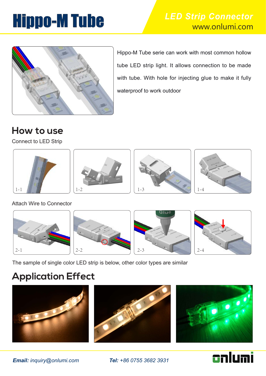### **Hippo-M Tube** LED Strip Connector



Hippo-M Tube serie can work with most common hollow tube LED strip light. It allows connection to be made with tube. With hole for injecting glue to make it fully waterproof to work outdoor

### **How to use**

Connect to LED Strip









Attach Wire to Connector



The sample of single color LED strip is below, other color types are similar

#### **Application Effect**





*Email: inquiry@onlumi.com Tel: +86 0755 3682 3931*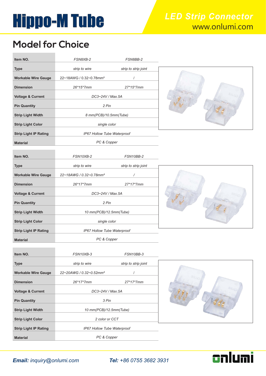## **Hippo-M Tube Willieur Strip Connector**

#### **Model for Choice**

| Item NO.                     | FSN8XB-2                            | FSN8BB-2             |  |
|------------------------------|-------------------------------------|----------------------|--|
| <b>Type</b>                  | strip to wire                       | strip to strip joint |  |
| <b>Workable Wire Gauge</b>   | 22~18AWG / 0.32~0.78mm <sup>2</sup> |                      |  |
| <b>Dimension</b>             | 26*15*7mm                           | 27*15*7mm            |  |
| <b>Voltage &amp; Current</b> | DC3~24V / Max.5A                    |                      |  |
| <b>Pin Quantity</b>          | 2 Pin                               |                      |  |
| <b>Strip Light Width</b>     | 8 mm(PCB)/10.5mm(Tube)              |                      |  |
| <b>Strip Light Color</b>     | single color                        |                      |  |
| <b>Strip Light IP Rating</b> | IP67 Hollow Tube Waterproof         |                      |  |
| <b>Material</b>              | PC & Copper                         |                      |  |
| Item NO.                     | FSN10XB-2                           | FSN10BB-2            |  |
| <b>Type</b>                  | strip to wire                       | strip to strip joint |  |
| <b>Workable Wire Gauge</b>   | 22~18AWG / 0.32~0.78mm <sup>2</sup> |                      |  |
| <b>Dimension</b>             | 26*17*7mm                           | 27*17*7mm            |  |
| <b>Voltage &amp; Current</b> |                                     |                      |  |
| <b>Pin Quantity</b>          | DC3~24V / Max.5A<br>2 Pin           |                      |  |
| <b>Strip Light Width</b>     | 10 mm(PCB)/12.5mm(Tube)             |                      |  |
| <b>Strip Light Color</b>     | single color                        |                      |  |
| <b>Strip Light IP Rating</b> | IP67 Hollow Tube Waterproof         |                      |  |
| <b>Material</b>              | PC & Copper                         |                      |  |
|                              |                                     |                      |  |
| Item NO.                     | FSN10XB-3                           | FSN10BB-3            |  |
| <b>Type</b>                  | strip to wire                       | strip to strip joint |  |
| <b>Workable Wire Gauge</b>   | 22~20AWG / 0.32~0.52mm <sup>2</sup> |                      |  |
| <b>Dimension</b>             | 26*17*7mm                           | 27*17*7mm            |  |
| <b>Voltage &amp; Current</b> | DC3~24V / Max.5A                    |                      |  |
| <b>Pin Quantity</b>          | 3 Pin                               |                      |  |
| <b>Strip Light Width</b>     | 10 mm(PCB)/12.5mm(Tube)             |                      |  |
| <b>Strip Light Color</b>     | 2 color or CCT                      |                      |  |
| <b>Strip Light IP Rating</b> | IP67 Hollow Tube Waterproof         |                      |  |
| <b>Material</b>              | PC & Copper                         |                      |  |



*Email: inquiry@onlumi.com Tel: +86 0755 3682 3931*